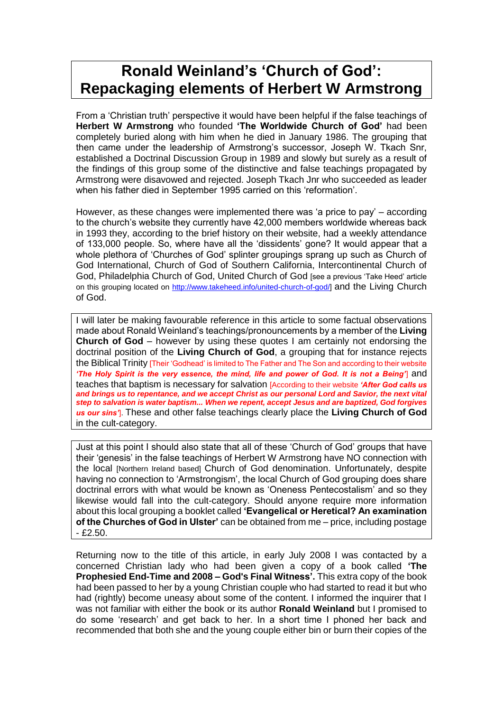# **Ronald Weinland's 'Church of God': Repackaging elements of Herbert W Armstrong**

From a 'Christian truth' perspective it would have been helpful if the false teachings of **Herbert W Armstrong** who founded **'The Worldwide Church of God'** had been completely buried along with him when he died in January 1986. The grouping that then came under the leadership of Armstrong's successor, Joseph W. Tkach Snr, established a Doctrinal Discussion Group in 1989 and slowly but surely as a result of the findings of this group some of the distinctive and false teachings propagated by Armstrong were disavowed and rejected. Joseph Tkach Jnr who succeeded as leader when his father died in September 1995 carried on this 'reformation'.

However, as these changes were implemented there was 'a price to pay' – according to the church's website they currently have 42,000 members worldwide whereas back in 1993 they, according to the brief history on their website, had a weekly attendance of 133,000 people. So, where have all the 'dissidents' gone? It would appear that a whole plethora of 'Churches of God' splinter groupings sprang up such as Church of God International, Church of God of Southern California, Intercontinental Church of God, Philadelphia Church of God, United Church of God [see a previous 'Take Heed' article on this grouping located on [http://www.takeheed.info/united-church-of-god/\]](http://www.takeheed.info/united-church-of-god/) and the Living Church of God.

I will later be making favourable reference in this article to some factual observations made about Ronald Weinland's teachings/pronouncements by a member of the **Living Church of God** – however by using these quotes I am certainly not endorsing the doctrinal position of the **Living Church of God**, a grouping that for instance rejects the Biblical Trinity [Their 'Godhead' is limited to The Father and The Son and according to their website *'The Holy Spirit is the very essence, the mind, life and power of God. It is not a Being'*] and teaches that baptism is necessary for salvation [According to their website *'After God calls us and brings us to repentance, and we accept Christ as our personal Lord and Savior, the next vital step to salvation is water baptism... When we repent, accept Jesus and are baptized, God forgives us our sins'*]. These and other false teachings clearly place the **Living Church of God** in the cult-category.

Just at this point I should also state that all of these 'Church of God' groups that have their 'genesis' in the false teachings of Herbert W Armstrong have NO connection with the local [Northern Ireland based] Church of God denomination. Unfortunately, despite having no connection to 'Armstrongism', the local Church of God grouping does share doctrinal errors with what would be known as 'Oneness Pentecostalism' and so they likewise would fall into the cult-category. Should anyone require more information about this local grouping a booklet called **'Evangelical or Heretical? An examination of the Churches of God in Ulster'** can be obtained from me – price, including postage  $- f2.50.$ 

Returning now to the title of this article, in early July 2008 I was contacted by a concerned Christian lady who had been given a copy of a book called **'The Prophesied End-Time and 2008 – God's Final Witness'.** This extra copy of the book had been passed to her by a young Christian couple who had started to read it but who had (rightly) become uneasy about some of the content. I informed the inquirer that I was not familiar with either the book or its author **Ronald Weinland** but I promised to do some 'research' and get back to her. In a short time I phoned her back and recommended that both she and the young couple either bin or burn their copies of the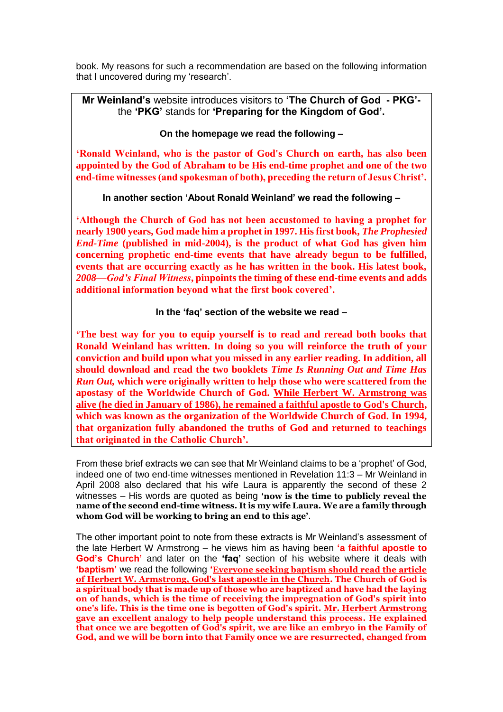book. My reasons for such a recommendation are based on the following information that I uncovered during my 'research'.

## **Mr Weinland's** website introduces visitors to **'The Church of God - PKG'** the **'PKG'** stands for **'Preparing for the Kingdom of God'.**

### **On the homepage we read the following –**

**'Ronald Weinland, who is the pastor of God's Church on earth, has also been appointed by the God of Abraham to be His end-time prophet and one of the two end-time witnesses (and spokesman of both), preceding the return of Jesus Christ'.** 

**In another section 'About Ronald Weinland' we read the following –**

**'Although the Church of God has not been accustomed to having a prophet for nearly 1900 years, God made him a prophet in 1997. His first book,** *The Prophesied End-Time* **(published in mid-2004), is the product of what God has given him concerning prophetic end-time events that have already begun to be fulfilled, events that are occurring exactly as he has written in the book. His latest book,**  *2008—God's Final Witness***, pinpoints the timing of these end-time events and adds additional information beyond what the first book covered'.**

#### **In the 'faq' section of the website we read –**

**'The best way for you to equip yourself is to read and reread both books that Ronald Weinland has written. In doing so you will reinforce the truth of your conviction and build upon what you missed in any earlier reading. In addition, all should download and read the two booklets** *Time Is Running Out and Time Has Run Out,* **which were originally written to help those who were scattered from the apostasy of the Worldwide Church of God. While Herbert W. Armstrong was alive (he died in January of 1986), he remained a faithful apostle to God's Church, which was known as the organization of the Worldwide Church of God. In 1994, that organization fully abandoned the truths of God and returned to teachings that originated in the Catholic Church'.** 

From these brief extracts we can see that Mr Weinland claims to be a 'prophet' of God, indeed one of two end-time witnesses mentioned in Revelation 11:3 – Mr Weinland in April 2008 also declared that his wife Laura is apparently the second of these 2 witnesses – His words are quoted as being **'now is the time to publicly reveal the name of the second end-time witness. It is my wife Laura. We are a family through whom God will be working to bring an end to this age'**.

The other important point to note from these extracts is Mr Weinland's assessment of the late Herbert W Armstrong – he views him as having been **'a faithful apostle to God's Church'** and later on the **'faq'** section of his website where it deals with **'baptism'** we read the following **'Everyone seeking baptism should read the article of Herbert W. Armstrong, God's last apostle in the Church. The Church of God is a spiritual body that is made up of those who are baptized and have had the laying on of hands, which is the time of receiving the impregnation of God's spirit into one's life. This is the time one is begotten of God's spirit. Mr. Herbert Armstrong gave an excellent analogy to help people understand this process. He explained that once we are begotten of God's spirit, we are like an embryo in the Family of God, and we will be born into that Family once we are resurrected, changed from**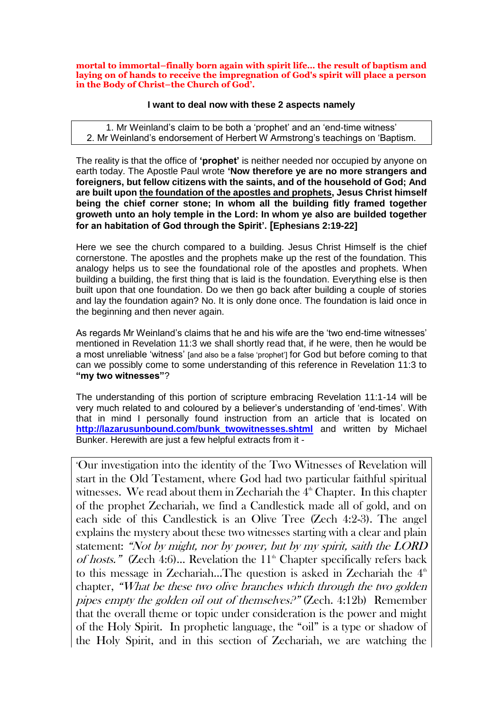**mortal to immortal–finally born again with spirit life… the result of baptism and laying on of hands to receive the impregnation of God's spirit will place a person in the Body of Christ–the Church of God'.**

#### **I want to deal now with these 2 aspects namely**

1. Mr Weinland's claim to be both a 'prophet' and an 'end-time witness' 2. Mr Weinland's endorsement of Herbert W Armstrong's teachings on 'Baptism.

The reality is that the office of **'prophet'** is neither needed nor occupied by anyone on earth today. The Apostle Paul wrote **'Now therefore ye are no more strangers and foreigners, but fellow citizens with the saints, and of the household of God; And are built upon the foundation of the apostles and prophets, Jesus Christ himself being the chief corner stone; In whom all the building fitly framed together groweth unto an holy temple in the Lord: In whom ye also are builded together for an habitation of God through the Spirit'. [Ephesians 2:19-22]**

Here we see the church compared to a building. Jesus Christ Himself is the chief cornerstone. The apostles and the prophets make up the rest of the foundation. This analogy helps us to see the foundational role of the apostles and prophets. When building a building, the first thing that is laid is the foundation. Everything else is then built upon that one foundation. Do we then go back after building a couple of stories and lay the foundation again? No. It is only done once. The foundation is laid once in the beginning and then never again.

As regards Mr Weinland's claims that he and his wife are the 'two end-time witnesses' mentioned in Revelation 11:3 we shall shortly read that, if he were, then he would be a most unreliable 'witness' [and also be a false 'prophet'] for God but before coming to that can we possibly come to some understanding of this reference in Revelation 11:3 to **"my two witnesses"**?

The understanding of this portion of scripture embracing Revelation 11:1-14 will be very much related to and coloured by a believer's understanding of 'end-times'. With that in mind I personally found instruction from an article that is located on **[http://lazarusunbound.com/bunk\\_twowitnesses.shtml](http://lazarusunbound.com/bunk_twowitnesses.shtml)** and written by Michael Bunker. Herewith are just a few helpful extracts from it -

'Our investigation into the identity of the Two Witnesses of Revelation will start in the Old Testament, where God had two particular faithful spiritual witnesses. We read about them in Zechariah the  $4<sup>th</sup>$  Chapter. In this chapter of the prophet Zechariah, we find a Candlestick made all of gold, and on each side of this Candlestick is an Olive Tree (Zech 4:2-3). The angel explains the mystery about these two witnesses starting with a clear and plain statement: "Not by might, nor by power, but by my spirit, saith the LORD of hosts." (Zech 4:6)... Revelation the  $11<sup>th</sup>$  Chapter specifically refers back to this message in Zechariah...The question is asked in Zechariah the  $4<sup>th</sup>$ chapter, "What be these two olive branches which through the two golden pipes empty the golden oil out of themselves?" (Zech. 4:12b) Remember that the overall theme or topic under consideration is the power and might of the Holy Spirit. In prophetic language, the "oil" is a type or shadow of the Holy Spirit, and in this section of Zechariah, we are watching the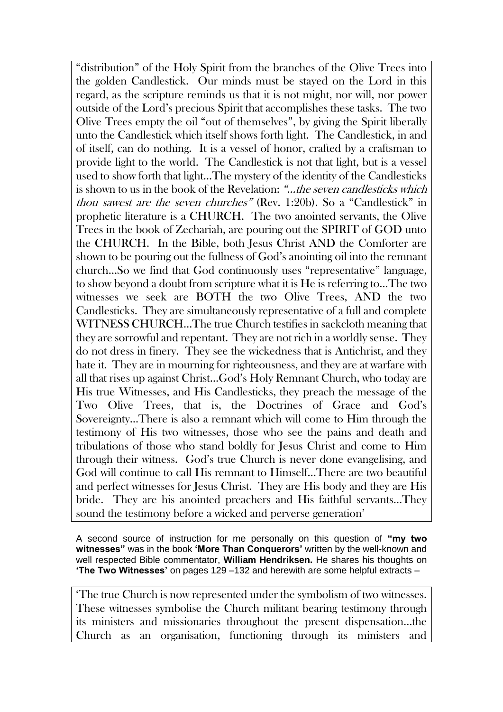"distribution" of the Holy Spirit from the branches of the Olive Trees into the golden Candlestick. Our minds must be stayed on the Lord in this regard, as the scripture reminds us that it is not might, nor will, nor power outside of the Lord's precious Spirit that accomplishes these tasks. The two Olive Trees empty the oil "out of themselves", by giving the Spirit liberally unto the Candlestick which itself shows forth light. The Candlestick, in and of itself, can do nothing. It is a vessel of honor, crafted by a craftsman to provide light to the world. The Candlestick is not that light, but is a vessel used to show forth that light…The mystery of the identity of the Candlesticks is shown to us in the book of the Revelation: "…the seven candlesticks which thou sawest are the seven churches" (Rev. 1:20b). So a "Candlestick" in prophetic literature is a CHURCH. The two anointed servants, the Olive Trees in the book of Zechariah, are pouring out the SPIRIT of GOD unto the CHURCH. In the Bible, both Jesus Christ AND the Comforter are shown to be pouring out the fullness of God's anointing oil into the remnant church…So we find that God continuously uses "representative" language, to show beyond a doubt from scripture what it is He is referring to…The two witnesses we seek are BOTH the two Olive Trees, AND the two Candlesticks. They are simultaneously representative of a full and complete WITNESS CHURCH…The true Church testifies in sackcloth meaning that they are sorrowful and repentant. They are not rich in a worldly sense. They do not dress in finery. They see the wickedness that is Antichrist, and they hate it. They are in mourning for righteousness, and they are at warfare with all that rises up against Christ…God's Holy Remnant Church, who today are His true Witnesses, and His Candlesticks, they preach the message of the Two Olive Trees, that is, the Doctrines of Grace and God's Sovereignty…There is also a remnant which will come to Him through the testimony of His two witnesses, those who see the pains and death and tribulations of those who stand boldly for Jesus Christ and come to Him through their witness. God's true Church is never done evangelising, and God will continue to call His remnant to Himself…There are two beautiful and perfect witnesses for Jesus Christ. They are His body and they are His bride. They are his anointed preachers and His faithful servants…They sound the testimony before a wicked and perverse generation'

A second source of instruction for me personally on this question of **"my two witnesses"** was in the book **'More Than Conquerors'** written by the well-known and well respected Bible commentator, **William Hendriksen.** He shares his thoughts on **'The Two Witnesses'** on pages 129 –132 and herewith are some helpful extracts –

'The true Church is now represented under the symbolism of two witnesses. These witnesses symbolise the Church militant bearing testimony through its ministers and missionaries throughout the present dispensation…the Church as an organisation, functioning through its ministers and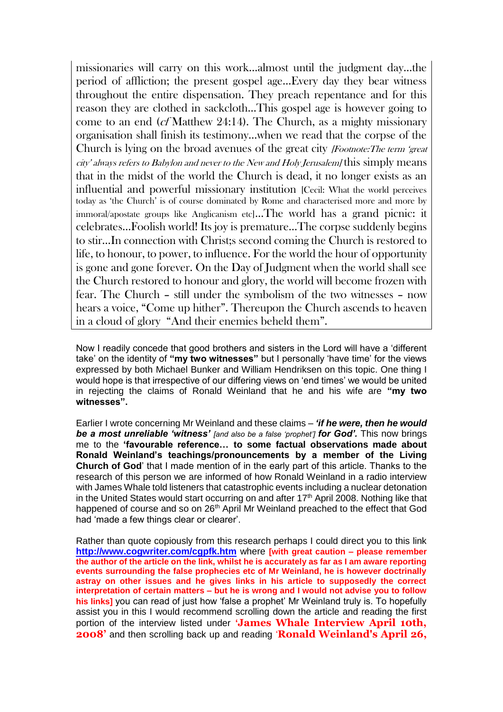missionaries will carry on this work…almost until the judgment day…the period of affliction; the present gospel age…Every day they bear witness throughout the entire dispensation. They preach repentance and for this reason they are clothed in sackcloth…This gospel age is however going to come to an end (cf Matthew 24:14). The Church, as a mighty missionary organisation shall finish its testimony…when we read that the corpse of the Church is lying on the broad avenues of the great city *[Footnote:The term 'great*] city' always refers to Babylon and never to the New and Holy Jerusalem] this simply means that in the midst of the world the Church is dead, it no longer exists as an influential and powerful missionary institution [Cecil: What the world perceives today as 'the Church' is of course dominated by Rome and characterised more and more by immoral/apostate groups like Anglicanism etc]…The world has a grand picnic: it celebrates…Foolish world! Its joy is premature…The corpse suddenly begins to stir…In connection with Christ;s second coming the Church is restored to life, to honour, to power, to influence. For the world the hour of opportunity is gone and gone forever. On the Day of Judgment when the world shall see the Church restored to honour and glory, the world will become frozen with fear. The Church – still under the symbolism of the two witnesses – now hears a voice, "Come up hither". Thereupon the Church ascends to heaven in a cloud of glory "And their enemies beheld them".

Now I readily concede that good brothers and sisters in the Lord will have a 'different take' on the identity of **"my two witnesses"** but I personally 'have time' for the views expressed by both Michael Bunker and William Hendriksen on this topic. One thing I would hope is that irrespective of our differing views on 'end times' we would be united in rejecting the claims of Ronald Weinland that he and his wife are **"my two witnesses".** 

Earlier I wrote concerning Mr Weinland and these claims – *'if he were, then he would be a most unreliable 'witness' [and also be a false 'prophet'] for God'.* This now brings me to the **'favourable reference… to some factual observations made about Ronald Weinland's teachings/pronouncements by a member of the Living Church of God**' that I made mention of in the early part of this article. Thanks to the research of this person we are informed of how Ronald Weinland in a radio interview with James Whale told listeners that catastrophic events including a nuclear detonation in the United States would start occurring on and after  $17<sup>th</sup>$  April 2008. Nothing like that happened of course and so on 26<sup>th</sup> April Mr Weinland preached to the effect that God had 'made a few things clear or clearer'.

Rather than quote copiously from this research perhaps I could direct you to this link **<http://www.cogwriter.com/cgpfk.htm>** where **[with great caution – please remember the author of the article on the link, whilst he is accurately as far as I am aware reporting events surrounding the false prophecies etc of Mr Weinland, he is however doctrinally astray on other issues and he gives links in his article to supposedly the correct interpretation of certain matters – but he is wrong and I would not advise you to follow his links]** you can read of just how 'false a prophet' Mr Weinland truly is. To hopefully assist you in this I would recommend scrolling down the article and reading the first portion of the interview listed under **'James Whale Interview April 10th, 2008'** and then scrolling back up and reading '**Ronald Weinland's April 26,**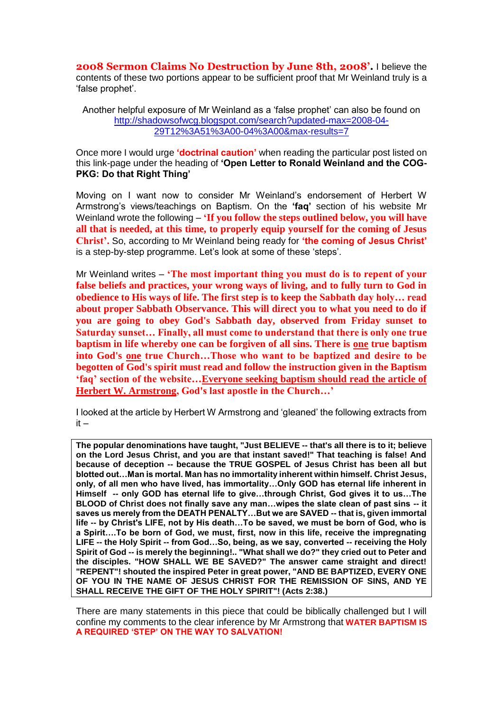**2008 Sermon Claims No Destruction by June 8th, 2008'.** I believe the contents of these two portions appear to be sufficient proof that Mr Weinland truly is a 'false prophet'.

Another helpful exposure of Mr Weinland as a 'false prophet' can also be found on [http://shadowsofwcg.blogspot.com/search?updated-max=2008-04-](http://shadowsofwcg.blogspot.com/search?updated-max=2008-04-29T12%3A51%3A00-04%3A00&max-results=7) [29T12%3A51%3A00-04%3A00&max-results=7](http://shadowsofwcg.blogspot.com/search?updated-max=2008-04-29T12%3A51%3A00-04%3A00&max-results=7)

Once more I would urge **'doctrinal caution'** when reading the particular post listed on this link-page under the heading of **'Open Letter to Ronald Weinland and the COG-PKG: Do that Right Thing'** 

Moving on I want now to consider Mr Weinland's endorsement of Herbert W Armstrong's views/teachings on Baptism. On the **'faq'** section of his website Mr Weinland wrote the following – **'If you follow the steps outlined below, you will have all that is needed, at this time, to properly equip yourself for the coming of Jesus Christ'.** So, according to Mr Weinland being ready for **'the coming of Jesus Christ'** is a step-by-step programme. Let's look at some of these 'steps'.

Mr Weinland writes – **'The most important thing you must do is to repent of your false beliefs and practices, your wrong ways of living, and to fully turn to God in obedience to His ways of life. The first step is to keep the Sabbath day holy… read about proper Sabbath Observance. This will direct you to what you need to do if you are going to obey God's Sabbath day, observed from Friday sunset to Saturday sunset… Finally, all must come to understand that there is only one true baptism in life whereby one can be forgiven of all sins. There is one true baptism into God's one true Church…Those who want to be baptized and desire to be begotten of God's spirit must read and follow the instruction given in the Baptism 'faq' section of the website…Everyone seeking baptism should read the article of Herbert W. Armstrong, God's last apostle in the Church…'**

I looked at the article by Herbert W Armstrong and 'gleaned' the following extracts from  $it -$ 

**The popular denominations have taught, "Just BELIEVE -- that's all there is to it; believe on the Lord Jesus Christ, and you are that instant saved!" That teaching is false! And because of deception -- because the TRUE GOSPEL of Jesus Christ has been all but blotted out…Man is mortal. Man has no immortality inherent within himself. Christ Jesus, only, of all men who have lived, has immortality…Only GOD has eternal life inherent in Himself -- only GOD has eternal life to give…through Christ, God gives it to us…The BLOOD of Christ does not finally save any man…wipes the slate clean of past sins -- it saves us merely from the DEATH PENALTY…But we are SAVED -- that is, given immortal life -- by Christ's LIFE, not by His death…To be saved, we must be born of God, who is a Spirit….To be born of God, we must, first, now in this life, receive the impregnating LIFE -- the Holy Spirit -- from God…So, being, as we say, converted -- receiving the Holy Spirit of God -- is merely the beginning!.. "What shall we do?" they cried out to Peter and the disciples. "HOW SHALL WE BE SAVED?" The answer came straight and direct! "REPENT"! shouted the inspired Peter in great power, "AND BE BAPTIZED, EVERY ONE OF YOU IN THE NAME OF JESUS CHRIST FOR THE REMISSION OF SINS, AND YE SHALL RECEIVE THE GIFT OF THE HOLY SPIRIT"! (Acts 2:38.)**

There are many statements in this piece that could be biblically challenged but I will confine my comments to the clear inference by Mr Armstrong that **WATER BAPTISM IS A REQUIRED 'STEP' ON THE WAY TO SALVATION!**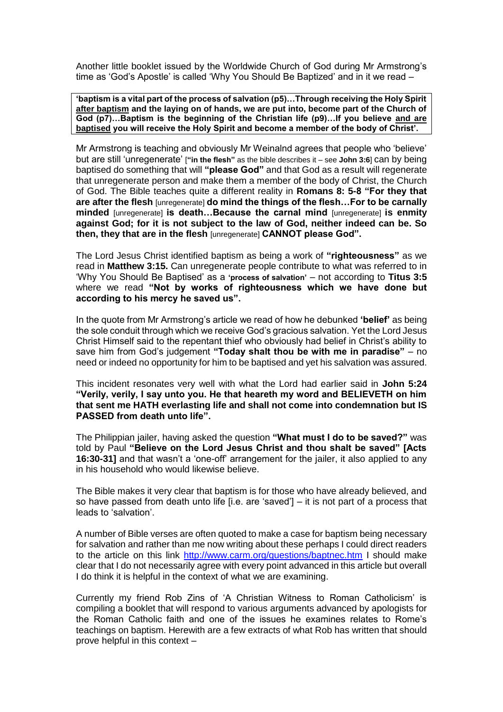Another little booklet issued by the Worldwide Church of God during Mr Armstrong's time as 'God's Apostle' is called 'Why You Should Be Baptized' and in it we read –

**'baptism is a vital part of the process of salvation (p5)…Through receiving the Holy Spirit after baptism and the laying on of hands, we are put into, become part of the Church of God (p7)…Baptism is the beginning of the Christian life (p9)…If you believe and are baptised you will receive the Holy Spirit and become a member of the body of Christ'.**

Mr Armstrong is teaching and obviously Mr Weinalnd agrees that people who 'believe' but are still 'unregenerate' [**"in the flesh"** as the bible describes it – see **John 3:6**] can by being baptised do something that will **"please God"** and that God as a result will regenerate that unregenerate person and make them a member of the body of Christ, the Church of God. The Bible teaches quite a different reality in **Romans 8: 5-8 "For they that are after the flesh** [unregenerate] **do mind the things of the flesh…For to be carnally minded** [unregenerate] **is death…Because the carnal mind** [unregenerate] **is enmity against God; for it is not subject to the law of God, neither indeed can be. So then, they that are in the flesh** [unregenerate] **CANNOT please God".**

The Lord Jesus Christ identified baptism as being a work of **"righteousness"** as we read in **Matthew 3:15.** Can unregenerate people contribute to what was referred to in 'Why You Should Be Baptised' as a **'process of salvation'** – not according to **Titus 3:5**  where we read **"Not by works of righteousness which we have done but according to his mercy he saved us".**

In the quote from Mr Armstrong's article we read of how he debunked **'belief'** as being the sole conduit through which we receive God's gracious salvation. Yet the Lord Jesus Christ Himself said to the repentant thief who obviously had belief in Christ's ability to save him from God's judgement **"Today shalt thou be with me in paradise"** – no need or indeed no opportunity for him to be baptised and yet his salvation was assured.

This incident resonates very well with what the Lord had earlier said in **John 5:24 "Verily, verily, I say unto you. He that heareth my word and BELIEVETH on him that sent me HATH everlasting life and shall not come into condemnation but IS PASSED from death unto life".** 

The Philippian jailer, having asked the question **"What must I do to be saved?"** was told by Paul **"Believe on the Lord Jesus Christ and thou shalt be saved" [Acts 16:30-31]** and that wasn't a 'one-off' arrangement for the jailer, it also applied to any in his household who would likewise believe.

The Bible makes it very clear that baptism is for those who have already believed, and so have passed from death unto life [i.e. are 'saved'] – it is not part of a process that leads to 'salvation'.

A number of Bible verses are often quoted to make a case for baptism being necessary for salvation and rather than me now writing about these perhaps I could direct readers to the article on this link<http://www.carm.org/questions/baptnec.htm> I should make clear that I do not necessarily agree with every point advanced in this article but overall I do think it is helpful in the context of what we are examining.

Currently my friend Rob Zins of 'A Christian Witness to Roman Catholicism' is compiling a booklet that will respond to various arguments advanced by apologists for the Roman Catholic faith and one of the issues he examines relates to Rome's teachings on baptism. Herewith are a few extracts of what Rob has written that should prove helpful in this context –